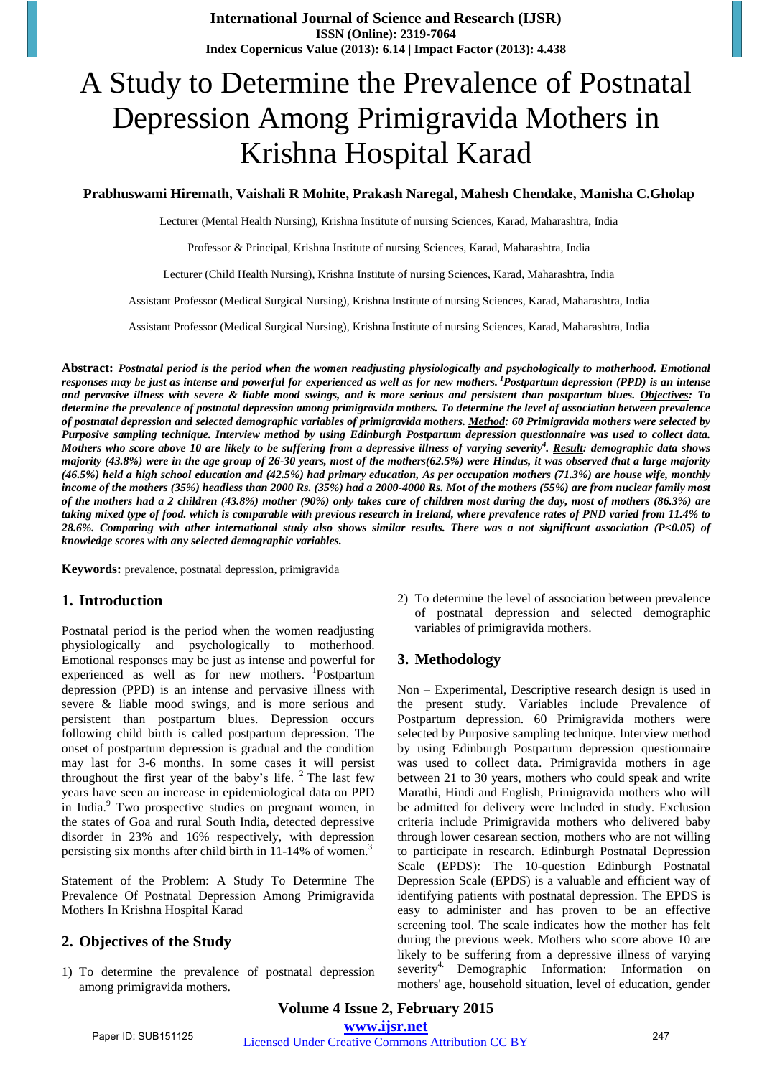# A Study to Determine the Prevalence of Postnatal Depression Among Primigravida Mothers in Krishna Hospital Karad

#### **Prabhuswami Hiremath, Vaishali R Mohite, Prakash Naregal, Mahesh Chendake, Manisha C.Gholap**

Lecturer (Mental Health Nursing), Krishna Institute of nursing Sciences, Karad, Maharashtra, India

Professor & Principal, Krishna Institute of nursing Sciences, Karad, Maharashtra, India

Lecturer (Child Health Nursing), Krishna Institute of nursing Sciences, Karad, Maharashtra, India

Assistant Professor (Medical Surgical Nursing), Krishna Institute of nursing Sciences, Karad, Maharashtra, India

Assistant Professor (Medical Surgical Nursing), Krishna Institute of nursing Sciences, Karad, Maharashtra, India

**Abstract:** *Postnatal period is the period when the women readjusting physiologically and psychologically to motherhood. Emotional responses may be just as intense and powerful for experienced as well as for new mothers.<sup>1</sup>Postpartum depression (PPD) is an intense and pervasive illness with severe & liable mood swings, and is more serious and persistent than postpartum blues. Objectives: To determine the prevalence of postnatal depression among primigravida mothers. To determine the level of association between prevalence of postnatal depression and selected demographic variables of primigravida mothers. Method: 60 Primigravida mothers were selected by Purposive sampling technique. Interview method by using Edinburgh Postpartum depression questionnaire was used to collect data. Mothers who score above 10 are likely to be suffering from a depressive illness of varying severity<sup>4</sup> . Result: demographic data shows majority (43.8%) were in the age group of 26-30 years, most of the mothers(62.5%) were Hindus, it was observed that a large majority (46.5%) held a high school education and (42.5%) had primary education, As per occupation mothers (71.3%) are house wife, monthly income of the mothers (35%) headless than 2000 Rs. (35%) had a 2000-4000 Rs. Mot of the mothers (55%) are from nuclear family most of the mothers had a 2 children (43.8%) mother (90%) only takes care of children most during the day, most of mothers (86.3%) are taking mixed type of food. which is comparable with previous research in Ireland, where prevalence rates of PND varied from 11.4% to 28.6%. Comparing with other international study also shows similar results. There was a not significant association (P<0.05) of knowledge scores with any selected demographic variables.*

**Keywords:** prevalence, postnatal depression, primigravida

## **1. Introduction**

Postnatal period is the period when the women readjusting physiologically and psychologically to motherhood. Emotional responses may be just as intense and powerful for experienced as well as for new mothers. <sup>1</sup>Postpartum depression (PPD) is an intense and pervasive illness with severe & liable mood swings, and is more serious and persistent than postpartum blues. Depression occurs following child birth is called postpartum depression. The onset of postpartum depression is gradual and the condition may last for 3-6 months. In some cases it will persist throughout the first year of the baby's life.  $2$  The last few years have seen an increase in epidemiological data on PPD in India.<sup>9</sup> Two prospective studies on pregnant women, in the states of Goa and rural South India, detected depressive disorder in 23% and 16% respectively, with depression persisting six months after child birth in 11-14% of women.<sup>3</sup>

Statement of the Problem: A Study To Determine The Prevalence Of Postnatal Depression Among Primigravida Mothers In Krishna Hospital Karad

## **2. Objectives of the Study**

1) To determine the prevalence of postnatal depression among primigravida mothers.

2) To determine the level of association between prevalence of postnatal depression and selected demographic variables of primigravida mothers.

# **3. Methodology**

Non – Experimental, Descriptive research design is used in the present study. Variables include Prevalence of Postpartum depression. 60 Primigravida mothers were selected by Purposive sampling technique. Interview method by using Edinburgh Postpartum depression questionnaire was used to collect data. Primigravida mothers in age between 21 to 30 years, mothers who could speak and write Marathi, Hindi and English, Primigravida mothers who will be admitted for delivery were Included in study. Exclusion criteria include Primigravida mothers who delivered baby through lower cesarean section, mothers who are not willing to participate in research. Edinburgh Postnatal Depression Scale (EPDS): The 10-question Edinburgh Postnatal Depression Scale (EPDS) is a valuable and efficient way of identifying patients with postnatal depression. The EPDS is easy to administer and has proven to be an effective screening tool. The scale indicates how the mother has felt during the previous week. Mothers who score above 10 are likely to be suffering from a depressive illness of varying severity<sup>4.</sup> Demographic Information: Information on mothers' age, household situation, level of education, gender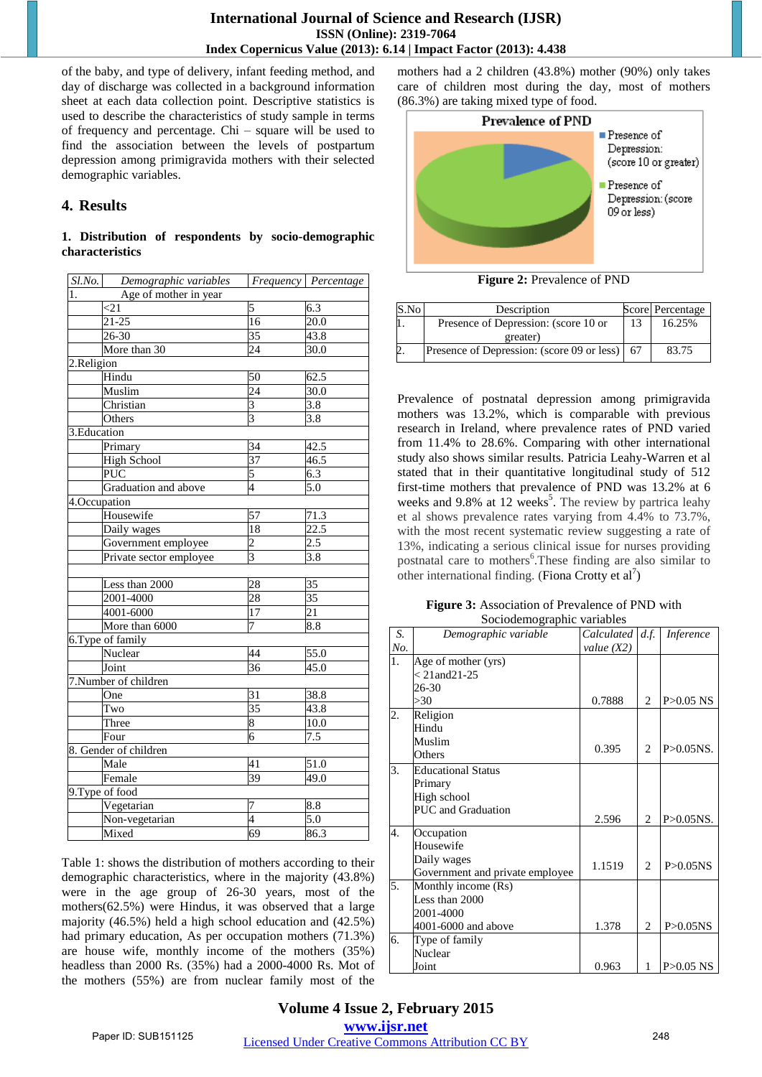of the baby, and type of delivery, infant feeding method, and day of discharge was collected in a background information sheet at each data collection point. Descriptive statistics is used to describe the characteristics of study sample in terms of frequency and percentage. Chi – square will be used to find the association between the levels of postpartum depression among primigravida mothers with their selected demographic variables.

## **4. Results**

### **1. Distribution of respondents by socio-demographic characteristics**

| Age of mother in year<br>1.<br>5<br>$6.\overline{3}$<br>$\leq$ 21<br>20.0<br>$21 - 25$<br>16<br>$\overline{35}$<br>$26 - 30$<br>43.8<br>More than 30<br>24<br>30.0<br>2.Religion<br>Hindu<br>50<br>62.5<br>$\overline{24}$<br>Muslim<br>30.0<br>Christian<br>3<br>3.8<br>$\overline{3}$<br>3.8<br>Others<br>3. Education<br>$\overline{34}$<br>Primary<br>42.5<br>$\overline{37}$<br>46.5<br><b>High School</b><br>$\overline{\text{PUC}}$<br>5<br>6.3<br>$\overline{5.0}$<br>Graduation and above<br>$\overline{4}$<br>4.Occupation<br>Housewife<br>57<br>71.3<br>22.5<br>Daily wages<br>18<br>$\overline{c}$<br>2.5<br>Government employee<br>3<br>3.8<br>Private sector employee<br>Less than 2000<br>28<br>35<br>28<br>35<br>2001-4000<br>$\overline{21}$<br>4001-6000<br>17<br>$\overline{7}$<br>More than 6000<br>8.8<br>6. Type of family<br>Nuclear<br>44<br>55.0<br>36<br>Joint<br>45.0<br>7.Number of children<br>31<br>38.8<br>One<br>35<br>43.8<br>Two<br>8<br>10.0<br>Three<br>$\overline{6}$<br>$\overline{7.5}$<br>Four<br>8. Gender of children<br>41<br>Male<br>51.0<br>49.0<br>$\overline{39}$<br>Female<br>9. Type of food<br>Vegetarian<br>7<br>8.8<br>$\overline{4}$<br>Non-vegetarian<br>5.0<br>$\overline{69}$<br>Mixed<br>86.3 | $Sl$ .No. | Demographic variables | Frequency Percentage |
|--------------------------------------------------------------------------------------------------------------------------------------------------------------------------------------------------------------------------------------------------------------------------------------------------------------------------------------------------------------------------------------------------------------------------------------------------------------------------------------------------------------------------------------------------------------------------------------------------------------------------------------------------------------------------------------------------------------------------------------------------------------------------------------------------------------------------------------------------------------------------------------------------------------------------------------------------------------------------------------------------------------------------------------------------------------------------------------------------------------------------------------------------------------------------------------------------------------------------------------------------------|-----------|-----------------------|----------------------|
|                                                                                                                                                                                                                                                                                                                                                                                                                                                                                                                                                                                                                                                                                                                                                                                                                                                                                                                                                                                                                                                                                                                                                                                                                                                        |           |                       |                      |
|                                                                                                                                                                                                                                                                                                                                                                                                                                                                                                                                                                                                                                                                                                                                                                                                                                                                                                                                                                                                                                                                                                                                                                                                                                                        |           |                       |                      |
|                                                                                                                                                                                                                                                                                                                                                                                                                                                                                                                                                                                                                                                                                                                                                                                                                                                                                                                                                                                                                                                                                                                                                                                                                                                        |           |                       |                      |
|                                                                                                                                                                                                                                                                                                                                                                                                                                                                                                                                                                                                                                                                                                                                                                                                                                                                                                                                                                                                                                                                                                                                                                                                                                                        |           |                       |                      |
|                                                                                                                                                                                                                                                                                                                                                                                                                                                                                                                                                                                                                                                                                                                                                                                                                                                                                                                                                                                                                                                                                                                                                                                                                                                        |           |                       |                      |
|                                                                                                                                                                                                                                                                                                                                                                                                                                                                                                                                                                                                                                                                                                                                                                                                                                                                                                                                                                                                                                                                                                                                                                                                                                                        |           |                       |                      |
|                                                                                                                                                                                                                                                                                                                                                                                                                                                                                                                                                                                                                                                                                                                                                                                                                                                                                                                                                                                                                                                                                                                                                                                                                                                        |           |                       |                      |
|                                                                                                                                                                                                                                                                                                                                                                                                                                                                                                                                                                                                                                                                                                                                                                                                                                                                                                                                                                                                                                                                                                                                                                                                                                                        |           |                       |                      |
|                                                                                                                                                                                                                                                                                                                                                                                                                                                                                                                                                                                                                                                                                                                                                                                                                                                                                                                                                                                                                                                                                                                                                                                                                                                        |           |                       |                      |
|                                                                                                                                                                                                                                                                                                                                                                                                                                                                                                                                                                                                                                                                                                                                                                                                                                                                                                                                                                                                                                                                                                                                                                                                                                                        |           |                       |                      |
|                                                                                                                                                                                                                                                                                                                                                                                                                                                                                                                                                                                                                                                                                                                                                                                                                                                                                                                                                                                                                                                                                                                                                                                                                                                        |           |                       |                      |
|                                                                                                                                                                                                                                                                                                                                                                                                                                                                                                                                                                                                                                                                                                                                                                                                                                                                                                                                                                                                                                                                                                                                                                                                                                                        |           |                       |                      |
|                                                                                                                                                                                                                                                                                                                                                                                                                                                                                                                                                                                                                                                                                                                                                                                                                                                                                                                                                                                                                                                                                                                                                                                                                                                        |           |                       |                      |
|                                                                                                                                                                                                                                                                                                                                                                                                                                                                                                                                                                                                                                                                                                                                                                                                                                                                                                                                                                                                                                                                                                                                                                                                                                                        |           |                       |                      |
|                                                                                                                                                                                                                                                                                                                                                                                                                                                                                                                                                                                                                                                                                                                                                                                                                                                                                                                                                                                                                                                                                                                                                                                                                                                        |           |                       |                      |
|                                                                                                                                                                                                                                                                                                                                                                                                                                                                                                                                                                                                                                                                                                                                                                                                                                                                                                                                                                                                                                                                                                                                                                                                                                                        |           |                       |                      |
|                                                                                                                                                                                                                                                                                                                                                                                                                                                                                                                                                                                                                                                                                                                                                                                                                                                                                                                                                                                                                                                                                                                                                                                                                                                        |           |                       |                      |
|                                                                                                                                                                                                                                                                                                                                                                                                                                                                                                                                                                                                                                                                                                                                                                                                                                                                                                                                                                                                                                                                                                                                                                                                                                                        |           |                       |                      |
|                                                                                                                                                                                                                                                                                                                                                                                                                                                                                                                                                                                                                                                                                                                                                                                                                                                                                                                                                                                                                                                                                                                                                                                                                                                        |           |                       |                      |
|                                                                                                                                                                                                                                                                                                                                                                                                                                                                                                                                                                                                                                                                                                                                                                                                                                                                                                                                                                                                                                                                                                                                                                                                                                                        |           |                       |                      |
|                                                                                                                                                                                                                                                                                                                                                                                                                                                                                                                                                                                                                                                                                                                                                                                                                                                                                                                                                                                                                                                                                                                                                                                                                                                        |           |                       |                      |
|                                                                                                                                                                                                                                                                                                                                                                                                                                                                                                                                                                                                                                                                                                                                                                                                                                                                                                                                                                                                                                                                                                                                                                                                                                                        |           |                       |                      |
|                                                                                                                                                                                                                                                                                                                                                                                                                                                                                                                                                                                                                                                                                                                                                                                                                                                                                                                                                                                                                                                                                                                                                                                                                                                        |           |                       |                      |
|                                                                                                                                                                                                                                                                                                                                                                                                                                                                                                                                                                                                                                                                                                                                                                                                                                                                                                                                                                                                                                                                                                                                                                                                                                                        |           |                       |                      |
|                                                                                                                                                                                                                                                                                                                                                                                                                                                                                                                                                                                                                                                                                                                                                                                                                                                                                                                                                                                                                                                                                                                                                                                                                                                        |           |                       |                      |
|                                                                                                                                                                                                                                                                                                                                                                                                                                                                                                                                                                                                                                                                                                                                                                                                                                                                                                                                                                                                                                                                                                                                                                                                                                                        |           |                       |                      |
|                                                                                                                                                                                                                                                                                                                                                                                                                                                                                                                                                                                                                                                                                                                                                                                                                                                                                                                                                                                                                                                                                                                                                                                                                                                        |           |                       |                      |
|                                                                                                                                                                                                                                                                                                                                                                                                                                                                                                                                                                                                                                                                                                                                                                                                                                                                                                                                                                                                                                                                                                                                                                                                                                                        |           |                       |                      |
|                                                                                                                                                                                                                                                                                                                                                                                                                                                                                                                                                                                                                                                                                                                                                                                                                                                                                                                                                                                                                                                                                                                                                                                                                                                        |           |                       |                      |
|                                                                                                                                                                                                                                                                                                                                                                                                                                                                                                                                                                                                                                                                                                                                                                                                                                                                                                                                                                                                                                                                                                                                                                                                                                                        |           |                       |                      |
|                                                                                                                                                                                                                                                                                                                                                                                                                                                                                                                                                                                                                                                                                                                                                                                                                                                                                                                                                                                                                                                                                                                                                                                                                                                        |           |                       |                      |
|                                                                                                                                                                                                                                                                                                                                                                                                                                                                                                                                                                                                                                                                                                                                                                                                                                                                                                                                                                                                                                                                                                                                                                                                                                                        |           |                       |                      |
|                                                                                                                                                                                                                                                                                                                                                                                                                                                                                                                                                                                                                                                                                                                                                                                                                                                                                                                                                                                                                                                                                                                                                                                                                                                        |           |                       |                      |
|                                                                                                                                                                                                                                                                                                                                                                                                                                                                                                                                                                                                                                                                                                                                                                                                                                                                                                                                                                                                                                                                                                                                                                                                                                                        |           |                       |                      |
|                                                                                                                                                                                                                                                                                                                                                                                                                                                                                                                                                                                                                                                                                                                                                                                                                                                                                                                                                                                                                                                                                                                                                                                                                                                        |           |                       |                      |
|                                                                                                                                                                                                                                                                                                                                                                                                                                                                                                                                                                                                                                                                                                                                                                                                                                                                                                                                                                                                                                                                                                                                                                                                                                                        |           |                       |                      |
|                                                                                                                                                                                                                                                                                                                                                                                                                                                                                                                                                                                                                                                                                                                                                                                                                                                                                                                                                                                                                                                                                                                                                                                                                                                        |           |                       |                      |
|                                                                                                                                                                                                                                                                                                                                                                                                                                                                                                                                                                                                                                                                                                                                                                                                                                                                                                                                                                                                                                                                                                                                                                                                                                                        |           |                       |                      |
|                                                                                                                                                                                                                                                                                                                                                                                                                                                                                                                                                                                                                                                                                                                                                                                                                                                                                                                                                                                                                                                                                                                                                                                                                                                        |           |                       |                      |
|                                                                                                                                                                                                                                                                                                                                                                                                                                                                                                                                                                                                                                                                                                                                                                                                                                                                                                                                                                                                                                                                                                                                                                                                                                                        |           |                       |                      |

Table 1: shows the distribution of mothers according to their demographic characteristics, where in the majority (43.8%) were in the age group of 26-30 years, most of the mothers(62.5%) were Hindus, it was observed that a large majority (46.5%) held a high school education and (42.5%) had primary education, As per occupation mothers (71.3%) are house wife, monthly income of the mothers (35%) headless than 2000 Rs. (35%) had a 2000-4000 Rs. Mot of the mothers (55%) are from nuclear family most of the

mothers had a 2 children (43.8%) mother (90%) only takes care of children most during the day, most of mothers (86.3%) are taking mixed type of food.



**Figure 2:** Prevalence of PND

| S.No | Description                                   |    | Score Percentage |
|------|-----------------------------------------------|----|------------------|
|      | Presence of Depression: (score 10 or          | 13 | 16.25%           |
|      | greater)                                      |    |                  |
|      | Presence of Depression: (score 09 or less) 67 |    | 83.75            |

Prevalence of postnatal depression among primigravida mothers was 13.2%, which is comparable with previous research in Ireland, where prevalence rates of PND varied from 11.4% to 28.6%. Comparing with other international study also shows similar results. Patricia Leahy-Warren et al stated that in their quantitative longitudinal study of 512 first-time mothers that prevalence of PND was 13.2% at 6 weeks and  $9.8\%$  at 12 weeks<sup>5</sup>. The review by partrica leahy et al shows prevalence rates varying from 4.4% to 73.7%, with the most recent systematic review suggesting a rate of 13%, indicating a serious clinical issue for nurses providing postnatal care to mothers<sup>6</sup>. These finding are also similar to other international finding. (Fiona Crotty et  $al^7$ )

| <b>Figure 3:</b> Association of Prevalence of PND with |  |
|--------------------------------------------------------|--|
| Sociodemographic variables                             |  |

|     | Dociouchio gruphic variables    |                 |                |                |
|-----|---------------------------------|-----------------|----------------|----------------|
| S.  | Demographic variable            | Calculated d.f. |                | Inference      |
| No. |                                 | value $(X2)$    |                |                |
| 1.  | Age of mother (yrs)             |                 |                |                |
|     | $< 21$ and $21 - 25$            |                 |                |                |
|     | 26-30                           |                 |                |                |
|     | >30                             | 0.7888          | 2              | $P > 0.05$ NS  |
| 2.  | Religion                        |                 |                |                |
|     | Hindu                           |                 |                |                |
|     | Muslim                          |                 |                |                |
|     | Others                          | 0.395           | $\overline{c}$ | $P > 0.05$ NS. |
| 3.  | <b>Educational Status</b>       |                 |                |                |
|     | Primary                         |                 |                |                |
|     | High school                     |                 |                |                |
|     | <b>PUC</b> and Graduation       |                 |                |                |
|     |                                 | 2.596           | $\overline{c}$ | $P > 0.05$ NS. |
| 4.  | Occupation                      |                 |                |                |
|     | Housewife                       |                 |                |                |
|     | Daily wages                     | 1.1519          | $\overline{c}$ | $P > 0.05$ NS  |
|     | Government and private employee |                 |                |                |
| 5.  | Monthly income (Rs)             |                 |                |                |
|     | Less than 2000                  |                 |                |                |
|     | 2001-4000                       |                 |                |                |
|     | 4001-6000 and above             | 1.378           | 2              | $P > 0.05$ NS  |
| 6.  | Type of family                  |                 |                |                |
|     | Nuclear                         |                 |                |                |
|     | Joint                           | 0.963           | 1              | $P > 0.05$ NS  |